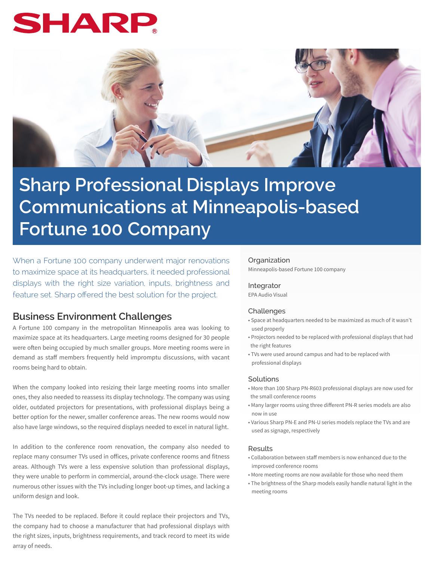# SHAR



# **Sharp Professional Displays Improve Communications at Minneapolis-based Fortune 100 Company**

When a Fortune 100 company underwent major renovations to maximize space at its headquarters, it needed professional displays with the right size variation, inputs, brightness and feature set. Sharp offered the best solution for the project.

## **Business Environment Challenges**

A Fortune 100 company in the metropolitan Minneapolis area was looking to maximize space at its headquarters. Large meeting rooms designed for 30 people were often being occupied by much smaller groups. More meeting rooms were in demand as staff members frequently held impromptu discussions, with vacant rooms being hard to obtain.

When the company looked into resizing their large meeting rooms into smaller ones, they also needed to reassess its display technology. The company was using older, outdated projectors for presentations, with professional displays being a better option for the newer, smaller conference areas. The new rooms would now also have large windows, so the required displays needed to excel in natural light.

In addition to the conference room renovation, the company also needed to replace many consumer TVs used in offices, private conference rooms and fitness areas. Although TVs were a less expensive solution than professional displays, they were unable to perform in commercial, around-the-clock usage. There were numerous other issues with the TVs including longer boot-up times, and lacking a uniform design and look.

The TVs needed to be replaced. Before it could replace their projectors and TVs, the company had to choose a manufacturer that had professional displays with the right sizes, inputs, brightness requirements, and track record to meet its wide array of needs.

#### **Organization**

Minneapolis-based Fortune 100 company

#### Integrator

EPA Audio Visual

#### Challenges

- Space at headquarters needed to be maximized as much of it wasn't used properly
- Projectors needed to be replaced with professional displays that had the right features
- TVs were used around campus and had to be replaced with professional displays

#### **Solutions**

- More than 100 Sharp PN-R603 professional displays are now used for the small conference rooms
- Many larger rooms using three different PN-R series models are also now in use
- Various Sharp PN-E and PN-U series models replace the TVs and are used as signage, respectively

#### Results

- Collaboration between staff members is now enhanced due to the improved conference rooms
- More meeting rooms are now available for those who need them
- The brightness of the Sharp models easily handle natural light in the meeting rooms